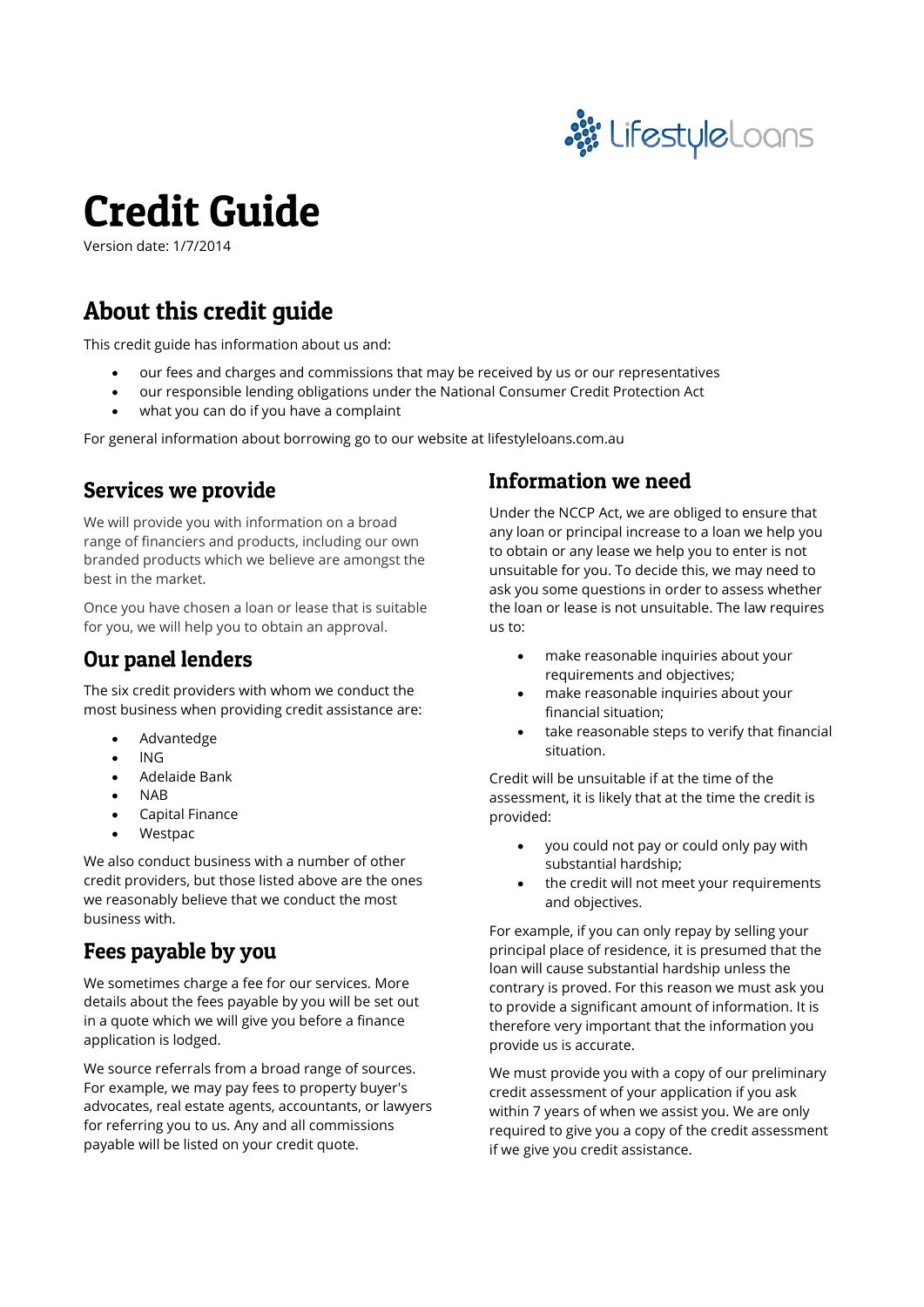

# **Credit Guide**

Version date: 1/7/2014

## About this credit guide

This credit guide has information about us and:

- our fees and charges and commissions that may be received by us or our representatives
- our responsible lending obligations under the National Consumer Credit Protection Act
- what you can do if you have a complaint

For general information about borrowing go to our website at lifestyleloans.com.au

## **Services we provide**

We will provide you with information on a broad range of financiers and products, including our own branded products which we believe are amongst the best in the market.

Once you have chosen a loan or lease that is suitable for you, we will help you to obtain an approval.

## Our panel lenders

The six credit providers with whom we conduct the most business when providing credit assistance are:

- Advantedge
- lNG
- Adelaide Bank
- NAB
- Capital Finance
- Westpac

We also conduct business with a number of other credit providers, but those listed above are the ones we reasonably believe that we conduct the most business with.

## Fees payable by you

We sometimes charge a fee for our services. More details about the fees payable by you will be set out in a quote which we will give you before a finance application is lodged.

We source referrals from a broad range of sources. For example, we may pay fees to property buyer's advocates, real estate agents, accountants, or lawyers for referring you to us. Any and all commissions payable will be listed on your credit quote.

## Information we need

Under the NCCP Act, we are obliged to ensure that any loan or principal increase to a loan we help you to obtain or any lease we help you to enter is not unsuitable for you. To decide this, we may need to ask you some questions in order to assess whether the loan or lease is not unsuitable. The law requires us to:

- make reasonable inquiries about your requirements and objectives;
- make reasonable inquiries about your financial situation;
- take reasonable steps to verify that financial situation.

Credit will be unsuitable if at the time of the assessment, it is likely that at the time the credit is provided:

- you could not pay or could only pay with substantial hardship;
- the credit will not meet your requirements and objectives.

For example, if you can only repay by selling your principal place of residence, it is presumed that the loan will cause substantial hardship unless the contrary is proved. For this reason we must ask you to provide a significant amount of information. It is therefore very important that the information you provide us is accurate.

We must provide you with a copy of our preliminary credit assessment of your application if you ask within 7 years of when we assist you. We are only required to give you a copy of the credit assessment if we give you credit assistance.